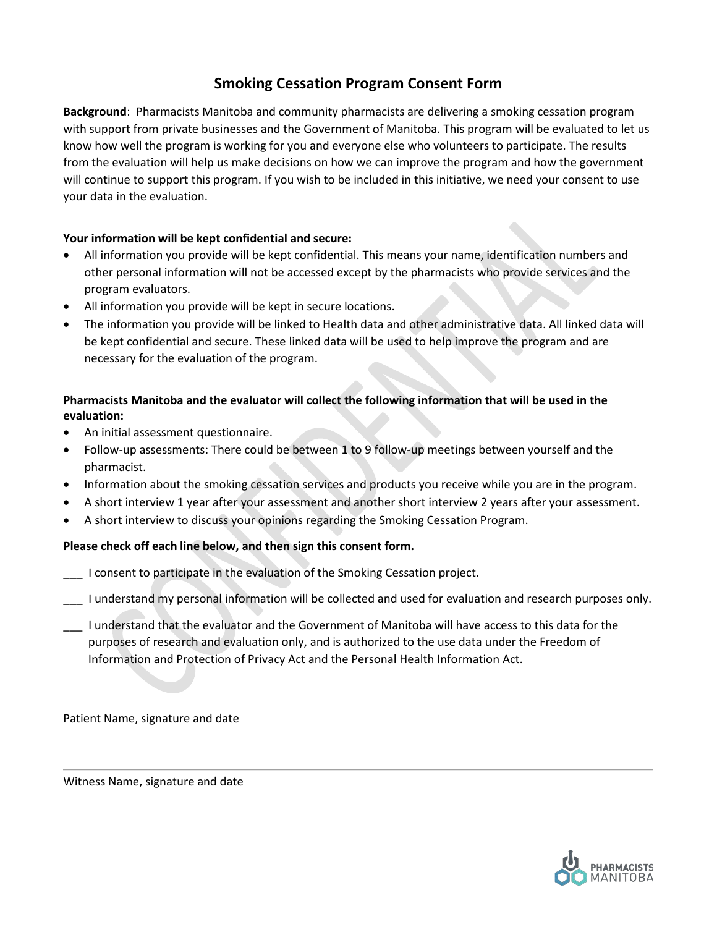# **Smoking Cessation Program Consent Form**

**Background**: Pharmacists Manitoba and community pharmacists are delivering a smoking cessation program with support from private businesses and the Government of Manitoba. This program will be evaluated to let us know how well the program is working for you and everyone else who volunteers to participate. The results from the evaluation will help us make decisions on how we can improve the program and how the government will continue to support this program. If you wish to be included in this initiative, we need your consent to use your data in the evaluation.

# **Your information will be kept confidential and secure:**

- All information you provide will be kept confidential. This means your name, identification numbers and other personal information will not be accessed except by the pharmacists who provide services and the program evaluators.
- All information you provide will be kept in secure locations.
- The information you provide will be linked to Health data and other administrative data. All linked data will be kept confidential and secure. These linked data will be used to help improve the program and are necessary for the evaluation of the program.

# **Pharmacists Manitoba and the evaluator will collect the following information that will be used in the evaluation:**

- An initial assessment questionnaire.
- Follow-up assessments: There could be between 1 to 9 follow-up meetings between yourself and the pharmacist.
- Information about the smoking cessation services and products you receive while you are in the program.
- A short interview 1 year after your assessment and another short interview 2 years after your assessment.
- A short interview to discuss your opinions regarding the Smoking Cessation Program.

# **Please check off each line below, and then sign this consent form.**

- \_\_\_ I consent to participate in the evaluation of the Smoking Cessation project.
- \_\_\_ I understand my personal information will be collected and used for evaluation and research purposes only.
- \_\_\_ I understand that the evaluator and the Government of Manitoba will have access to this data for the purposes of research and evaluation only, and is authorized to the use data under the Freedom of Information and Protection of Privacy Act and the Personal Health Information Act.

Patient Name, signature and date

Witness Name, signature and date